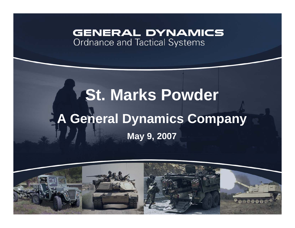### **GENERAL DYNAMICS** Ordnance and Tactical Systems

# **St. Marks Powder A General Dynamics Company May 9, 2007**

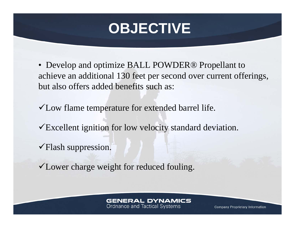# **OBJECTIVE**

- Develop and optimize BALL POWDER® Propellant to achieve an additional 130 feet per second over current offerings, but also offers added benefits such as:
- $\checkmark$  Low flame temperature for extended barrel life.
- $\checkmark$ Excellent ignition for low velocity standard deviation.
- $\checkmark$ Flash suppression.
- $\checkmark$  Lower charge weight for reduced fouling.

#### **GENERAL DYNAMICS**

**Ordnance and Tactical Systems**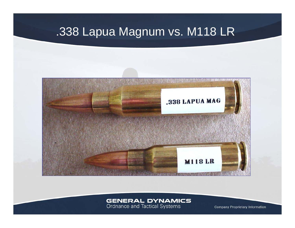## .338 Lapua Magnum vs. M118 LR



## **GENERAL DYNAMICS**<br>Ordnance and Tactical Systems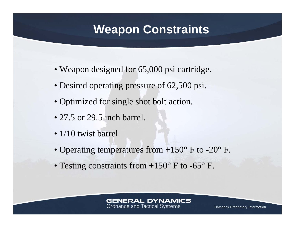## **Weapon Constraints**

- Weapon designed for 65,000 psi cartridge.
- Desired operating pressure of 62,500 psi.
- Optimized for single shot bolt action.
- 27.5 or 29.5 inch barrel.
- 1/10 twist barrel.
- Operating temperatures from  $+150^{\circ}$  F to -20 $^{\circ}$  F.
- Testing constraints from  $+150^{\circ}$  F to -65 $^{\circ}$  F.

#### **GENERAL DYNAMICS**

**Ordnance and Tactical Systems**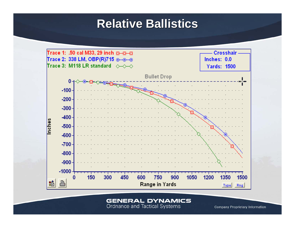## **Relative Ballistics Relative Ballistics**



**GENERAL DYNAMICS** 

Ordnance and Tactical Systems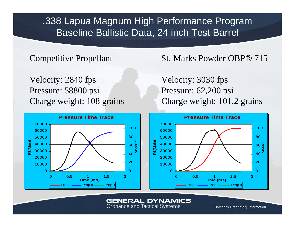.338 Lapua Magnum High Performance Program Baseline Ballistic Data, 24 inch Test Barrel

#### Competitive Propellant

Velocity: 2840 fps Pressure: 58800 psi Charge weight: 108 grains

### St. Marks Powder OBP® 715

Velocity: 3030 fps Pressure: 62,200 psi Charge weight: 101.2 grains



#### **GENERAL DYNAMICS**

**Ordnance and Tactical Systems**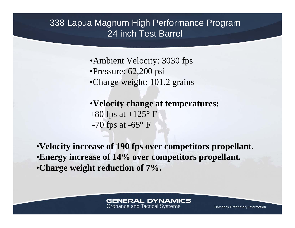### 338 Lapua Magnum High Performance Program 24 inch Test Barrel

•Ambient Velocity: 3030 fps •Pressure: 62,200 psi •Charge weight: 101.2 grains

•**Velocity change at temperatures:**  $+80$  fps at  $+125^{\circ}$  F -70 fps at  $-65^{\circ}$  F

•**Velocity increase of 190 fps over competitors propellant.** •**Energy increase of 14% over competitors propellant.** •**Charge weight reduction of 7%.**

#### **GENERAL DYNAMICS**

**Ordnance and Tactical Systems**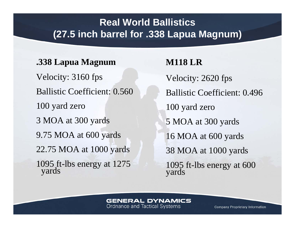## **Real World Ballistics(27.5 inch barrel for .338 Lapua Magnum)**

### **.338 Lapua Magnum**

Velocity: 3160 fps Ballistic Coefficient: 0.560100 yard zero 3 MOA at 300 yards 9.75 MOA at 600 yards 22.75 MOA at 1000 yards 1095 ft-lbs energy at 1275 yards

**M118 LR**Velocity: 2620 fps Ballistic Coefficient: 0.496 100 yard zero 5 MOA at 300 yards 16 MOA at 600 yards 38 MOA at 1000 yards 1095 ft-lbs energy at 600 yards

#### **GENERAL DYNAMICS**

**Ordnance and Tactical Systems**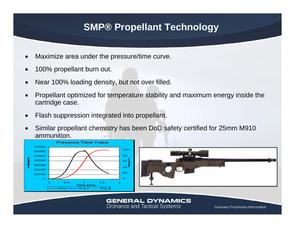## **SMP® Propellant Technology**

- •Maximize area under the pressure/time curve.
- •100% propellant burn out.
- •Near 100% loading density, but not over filled.
- • Propellant optimized for temperature stability and maximum energy inside the cartridge case.
- •Flash suppression integrated into propellant.
- • Similar propellant chemistry has been DoD safety certified for 25mm M910 ammunition.





#### **GENERAL DYNAMICS**

**Ordnance and Tactical Systems**